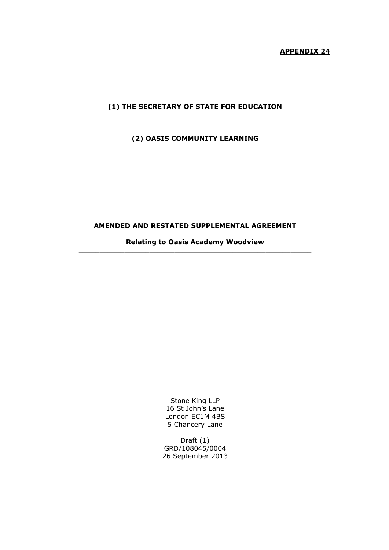# **APPENDIX 24**

# **(1) THE SECRETARY OF STATE FOR EDUCATION**

**(2) OASIS COMMUNITY LEARNING** 

# **AMENDED AND RESTATED SUPPLEMENTAL AGREEMENT**

\_\_\_\_\_\_\_\_\_\_\_\_\_\_\_\_\_\_\_\_\_\_\_\_\_\_\_\_\_\_\_\_\_\_\_\_\_\_\_\_\_\_\_\_\_\_\_\_\_\_\_\_\_\_\_\_

**Relating to Oasis Academy Woodview** \_\_\_\_\_\_\_\_\_\_\_\_\_\_\_\_\_\_\_\_\_\_\_\_\_\_\_\_\_\_\_\_\_\_\_\_\_\_\_\_\_\_\_\_\_\_\_\_\_\_\_\_\_\_\_\_

> Stone King LLP 16 St John's Lane London EC1M 4BS 5 Chancery Lane

Draft (1) GRD/108045/0004 26 September 2013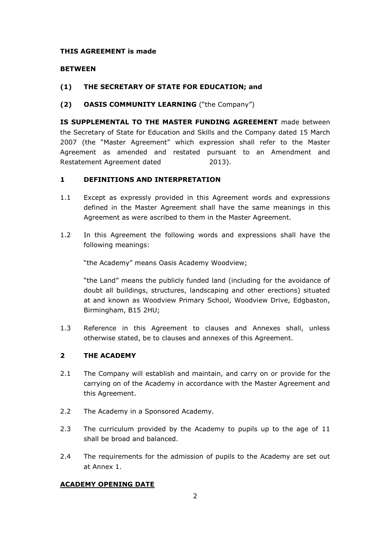### **THIS AGREEMENT is made**

### **BETWEEN**

# **(1) THE SECRETARY OF STATE FOR EDUCATION; and**

# **(2) OASIS COMMUNITY LEARNING** ("the Company")

**IS SUPPLEMENTAL TO THE MASTER FUNDING AGREEMENT** made between the Secretary of State for Education and Skills and the Company dated 15 March 2007 (the "Master Agreement" which expression shall refer to the Master Agreement as amended and restated pursuant to an Amendment and Restatement Agreement dated 2013).

# **1 DEFINITIONS AND INTERPRETATION**

- 1.1 Except as expressly provided in this Agreement words and expressions defined in the Master Agreement shall have the same meanings in this Agreement as were ascribed to them in the Master Agreement.
- 1.2 In this Agreement the following words and expressions shall have the following meanings:

"the Academy" means Oasis Academy Woodview;

"the Land" means the publicly funded land (including for the avoidance of doubt all buildings, structures, landscaping and other erections) situated at and known as Woodview Primary School, Woodview Drive, Edgbaston, Birmingham, B15 2HU;

1.3 Reference in this Agreement to clauses and Annexes shall, unless otherwise stated, be to clauses and annexes of this Agreement.

### **2 THE ACADEMY**

- 2.1 The Company will establish and maintain, and carry on or provide for the carrying on of the Academy in accordance with the Master Agreement and this Agreement.
- 2.2 The Academy in a Sponsored Academy.
- 2.3 The curriculum provided by the Academy to pupils up to the age of 11 shall be broad and balanced.
- 2.4 The requirements for the admission of pupils to the Academy are set out at Annex 1.

### **ACADEMY OPENING DATE**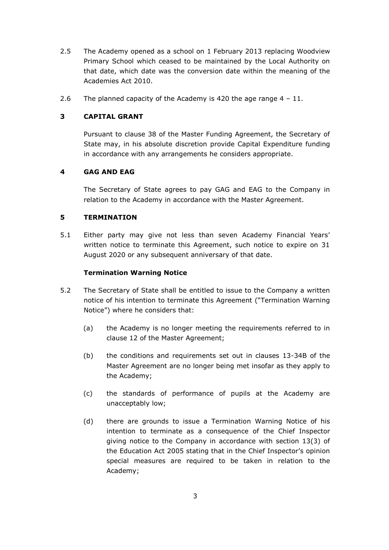- 2.5 The Academy opened as a school on 1 February 2013 replacing Woodview Primary School which ceased to be maintained by the Local Authority on that date, which date was the conversion date within the meaning of the Academies Act 2010.
- 2.6 The planned capacity of the Academy is 420 the age range  $4 11$ .

# **3 CAPITAL GRANT**

Pursuant to clause 38 of the Master Funding Agreement, the Secretary of State may, in his absolute discretion provide Capital Expenditure funding in accordance with any arrangements he considers appropriate.

# **4 GAG AND EAG**

The Secretary of State agrees to pay GAG and EAG to the Company in relation to the Academy in accordance with the Master Agreement.

# **5 TERMINATION**

5.1 Either party may give not less than seven Academy Financial Years' written notice to terminate this Agreement, such notice to expire on 31 August 2020 or any subsequent anniversary of that date.

# **Termination Warning Notice**

- 5.2 The Secretary of State shall be entitled to issue to the Company a written notice of his intention to terminate this Agreement ("Termination Warning Notice") where he considers that:
	- (a) the Academy is no longer meeting the requirements referred to in clause 12 of the Master Agreement;
	- (b) the conditions and requirements set out in clauses 13-34B of the Master Agreement are no longer being met insofar as they apply to the Academy;
	- (c) the standards of performance of pupils at the Academy are unacceptably low;
	- (d) there are grounds to issue a Termination Warning Notice of his intention to terminate as a consequence of the Chief Inspector giving notice to the Company in accordance with section 13(3) of the Education Act 2005 stating that in the Chief Inspector's opinion special measures are required to be taken in relation to the Academy;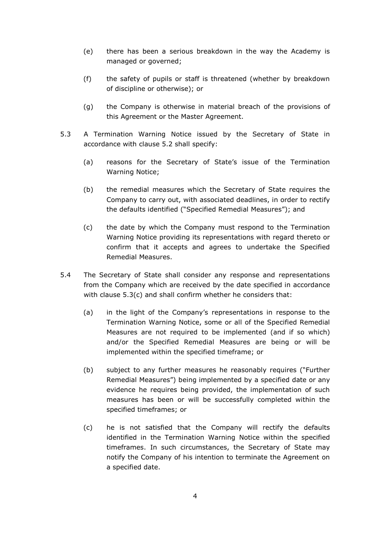- (e) there has been a serious breakdown in the way the Academy is managed or governed;
- (f) the safety of pupils or staff is threatened (whether by breakdown of discipline or otherwise); or
- (g) the Company is otherwise in material breach of the provisions of this Agreement or the Master Agreement.
- 5.3 A Termination Warning Notice issued by the Secretary of State in accordance with clause 5.2 shall specify:
	- (a) reasons for the Secretary of State's issue of the Termination Warning Notice;
	- (b) the remedial measures which the Secretary of State requires the Company to carry out, with associated deadlines, in order to rectify the defaults identified ("Specified Remedial Measures"); and
	- (c) the date by which the Company must respond to the Termination Warning Notice providing its representations with regard thereto or confirm that it accepts and agrees to undertake the Specified Remedial Measures.
- 5.4 The Secretary of State shall consider any response and representations from the Company which are received by the date specified in accordance with clause 5.3(c) and shall confirm whether he considers that:
	- (a) in the light of the Company's representations in response to the Termination Warning Notice, some or all of the Specified Remedial Measures are not required to be implemented (and if so which) and/or the Specified Remedial Measures are being or will be implemented within the specified timeframe; or
	- (b) subject to any further measures he reasonably requires ("Further Remedial Measures") being implemented by a specified date or any evidence he requires being provided, the implementation of such measures has been or will be successfully completed within the specified timeframes; or
	- (c) he is not satisfied that the Company will rectify the defaults identified in the Termination Warning Notice within the specified timeframes. In such circumstances, the Secretary of State may notify the Company of his intention to terminate the Agreement on a specified date.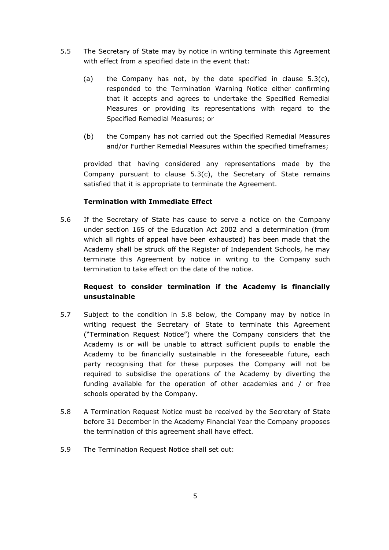- 5.5 The Secretary of State may by notice in writing terminate this Agreement with effect from a specified date in the event that:
	- (a) the Company has not, by the date specified in clause  $5.3(c)$ , responded to the Termination Warning Notice either confirming that it accepts and agrees to undertake the Specified Remedial Measures or providing its representations with regard to the Specified Remedial Measures; or
	- (b) the Company has not carried out the Specified Remedial Measures and/or Further Remedial Measures within the specified timeframes;

provided that having considered any representations made by the Company pursuant to clause  $5.3(c)$ , the Secretary of State remains satisfied that it is appropriate to terminate the Agreement.

# **Termination with Immediate Effect**

5.6 If the Secretary of State has cause to serve a notice on the Company under section 165 of the Education Act 2002 and a determination (from which all rights of appeal have been exhausted) has been made that the Academy shall be struck off the Register of Independent Schools, he may terminate this Agreement by notice in writing to the Company such termination to take effect on the date of the notice.

# **Request to consider termination if the Academy is financially unsustainable**

- 5.7 Subject to the condition in 5.8 below, the Company may by notice in writing request the Secretary of State to terminate this Agreement ("Termination Request Notice") where the Company considers that the Academy is or will be unable to attract sufficient pupils to enable the Academy to be financially sustainable in the foreseeable future, each party recognising that for these purposes the Company will not be required to subsidise the operations of the Academy by diverting the funding available for the operation of other academies and / or free schools operated by the Company.
- 5.8 A Termination Request Notice must be received by the Secretary of State before 31 December in the Academy Financial Year the Company proposes the termination of this agreement shall have effect.
- 5.9 The Termination Request Notice shall set out: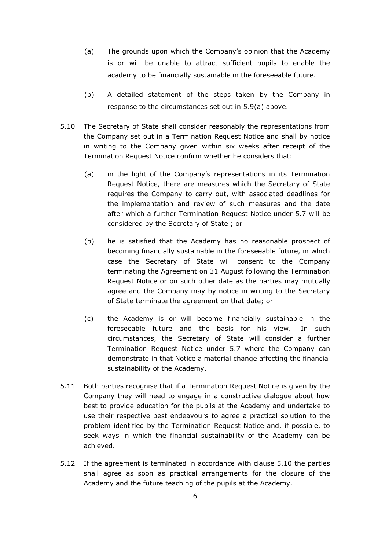- (a) The grounds upon which the Company's opinion that the Academy is or will be unable to attract sufficient pupils to enable the academy to be financially sustainable in the foreseeable future.
- (b) A detailed statement of the steps taken by the Company in response to the circumstances set out in 5.9(a) above.
- 5.10 The Secretary of State shall consider reasonably the representations from the Company set out in a Termination Request Notice and shall by notice in writing to the Company given within six weeks after receipt of the Termination Request Notice confirm whether he considers that:
	- (a) in the light of the Company's representations in its Termination Request Notice, there are measures which the Secretary of State requires the Company to carry out, with associated deadlines for the implementation and review of such measures and the date after which a further Termination Request Notice under 5.7 will be considered by the Secretary of State ; or
	- (b) he is satisfied that the Academy has no reasonable prospect of becoming financially sustainable in the foreseeable future, in which case the Secretary of State will consent to the Company terminating the Agreement on 31 August following the Termination Request Notice or on such other date as the parties may mutually agree and the Company may by notice in writing to the Secretary of State terminate the agreement on that date; or
	- (c) the Academy is or will become financially sustainable in the foreseeable future and the basis for his view. In such circumstances, the Secretary of State will consider a further Termination Request Notice under 5.7 where the Company can demonstrate in that Notice a material change affecting the financial sustainability of the Academy.
- 5.11 Both parties recognise that if a Termination Request Notice is given by the Company they will need to engage in a constructive dialogue about how best to provide education for the pupils at the Academy and undertake to use their respective best endeavours to agree a practical solution to the problem identified by the Termination Request Notice and, if possible, to seek ways in which the financial sustainability of the Academy can be achieved.
- 5.12 If the agreement is terminated in accordance with clause 5.10 the parties shall agree as soon as practical arrangements for the closure of the Academy and the future teaching of the pupils at the Academy.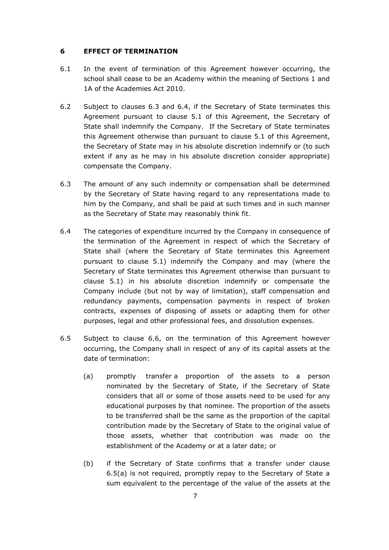### **6 EFFECT OF TERMINATION**

- 6.1 In the event of termination of this Agreement however occurring, the school shall cease to be an Academy within the meaning of Sections 1 and 1A of the Academies Act 2010.
- 6.2 Subject to clauses 6.3 and 6.4, if the Secretary of State terminates this Agreement pursuant to clause 5.1 of this Agreement, the Secretary of State shall indemnify the Company. If the Secretary of State terminates this Agreement otherwise than pursuant to clause 5.1 of this Agreement, the Secretary of State may in his absolute discretion indemnify or (to such extent if any as he may in his absolute discretion consider appropriate) compensate the Company.
- 6.3 The amount of any such indemnity or compensation shall be determined by the Secretary of State having regard to any representations made to him by the Company, and shall be paid at such times and in such manner as the Secretary of State may reasonably think fit.
- 6.4 The categories of expenditure incurred by the Company in consequence of the termination of the Agreement in respect of which the Secretary of State shall (where the Secretary of State terminates this Agreement pursuant to clause 5.1) indemnify the Company and may (where the Secretary of State terminates this Agreement otherwise than pursuant to clause 5.1) in his absolute discretion indemnify or compensate the Company include (but not by way of limitation), staff compensation and redundancy payments, compensation payments in respect of broken contracts, expenses of disposing of assets or adapting them for other purposes, legal and other professional fees, and dissolution expenses.
- 6.5 Subject to clause 6.6, on the termination of this Agreement however occurring, the Company shall in respect of any of its capital assets at the date of termination:
	- (a) promptly transfer a proportion of the assets to a person nominated by the Secretary of State, if the Secretary of State considers that all or some of those assets need to be used for any educational purposes by that nominee. The proportion of the assets to be transferred shall be the same as the proportion of the capital contribution made by the Secretary of State to the original value of those assets, whether that contribution was made on the establishment of the Academy or at a later date; or
	- (b) if the Secretary of State confirms that a transfer under clause 6.5(a) is not required, promptly repay to the Secretary of State a sum equivalent to the percentage of the value of the assets at the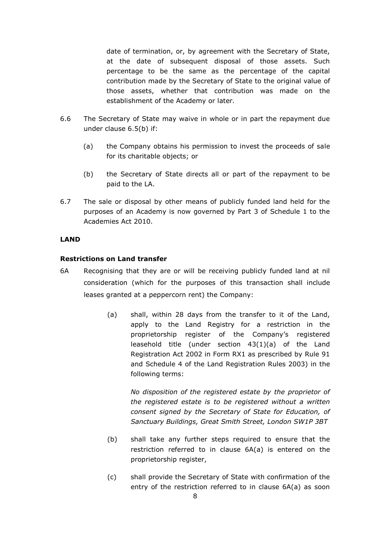date of termination, or, by agreement with the Secretary of State, at the date of subsequent disposal of those assets. Such percentage to be the same as the percentage of the capital contribution made by the Secretary of State to the original value of those assets, whether that contribution was made on the establishment of the Academy or later.

- 6.6 The Secretary of State may waive in whole or in part the repayment due under clause 6.5(b) if:
	- (a) the Company obtains his permission to invest the proceeds of sale for its charitable objects; or
	- (b) the Secretary of State directs all or part of the repayment to be paid to the LA.
- 6.7 The sale or disposal by other means of publicly funded land held for the purposes of an Academy is now governed by Part 3 of Schedule 1 to the Academies Act 2010.

# **LAND**

# **Restrictions on Land transfer**

- 6A Recognising that they are or will be receiving publicly funded land at nil consideration (which for the purposes of this transaction shall include leases granted at a peppercorn rent) the Company:
	- (a) shall, within 28 days from the transfer to it of the Land, apply to the Land Registry for a restriction in the proprietorship register of the Company's registered leasehold title (under section 43(1)(a) of the Land Registration Act 2002 in Form RX1 as prescribed by Rule 91 and Schedule 4 of the Land Registration Rules 2003) in the following terms:

*No disposition of the registered estate by the proprietor of the registered estate is to be registered without a written consent signed by the Secretary of State for Education, of Sanctuary Buildings, Great Smith Street, London SW1P 3BT*

- (b) shall take any further steps required to ensure that the restriction referred to in clause 6A(a) is entered on the proprietorship register,
- (c) shall provide the Secretary of State with confirmation of the entry of the restriction referred to in clause 6A(a) as soon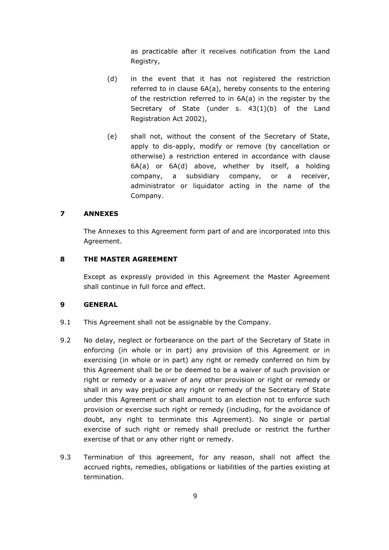as practicable after it receives notification from the Land Registry,

- (d) in the event that it has not registered the restriction referred to in clause 6A(a), hereby consents to the entering of the restriction referred to in 6A(a) in the register by the Secretary of State (under s. 43(1)(b) of the Land Registration Act 2002),
- (e) shall not, without the consent of the Secretary of State, apply to dis-apply, modify or remove (by cancellation or otherwise) a restriction entered in accordance with clause 6A(a) or 6A(d) above, whether by itself, a holding company, a subsidiary company, or a receiver, administrator or liquidator acting in the name of the Company.

### **7 ANNEXES**

The Annexes to this Agreement form part of and are incorporated into this Agreement.

#### **8 THE MASTER AGREEMENT**

Except as expressly provided in this Agreement the Master Agreement shall continue in full force and effect.

### **9 GENERAL**

- 9.1 This Agreement shall not be assignable by the Company.
- 9.2 No delay, neglect or forbearance on the part of the Secretary of State in enforcing (in whole or in part) any provision of this Agreement or in exercising (in whole or in part) any right or remedy conferred on him by this Agreement shall be or be deemed to be a waiver of such provision or right or remedy or a waiver of any other provision or right or remedy or shall in any way prejudice any right or remedy of the Secretary of State under this Agreement or shall amount to an election not to enforce such provision or exercise such right or remedy (including, for the avoidance of doubt, any right to terminate this Agreement). No single or partial exercise of such right or remedy shall preclude or restrict the further exercise of that or any other right or remedy.
- 9.3 Termination of this agreement, for any reason, shall not affect the accrued rights, remedies, obligations or liabilities of the parties existing at termination.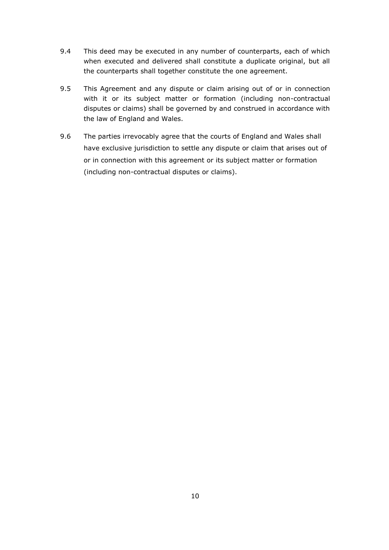- 9.4 This deed may be executed in any number of counterparts, each of which when executed and delivered shall constitute a duplicate original, but all the counterparts shall together constitute the one agreement.
- 9.5 This Agreement and any dispute or claim arising out of or in connection with it or its subject matter or formation (including non-contractual disputes or claims) shall be governed by and construed in accordance with the law of England and Wales.
- 9.6 The parties irrevocably agree that the courts of England and Wales shall have exclusive jurisdiction to settle any dispute or claim that arises out of or in connection with this agreement or its subject matter or formation (including non-contractual disputes or claims).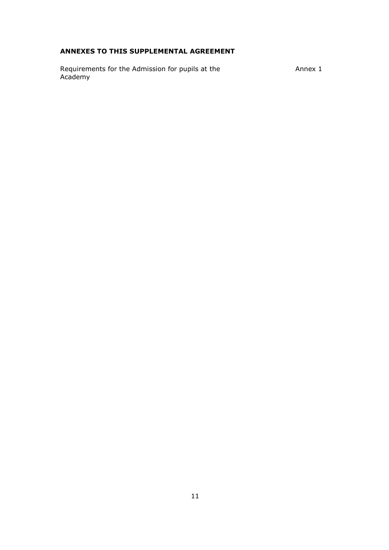# **ANNEXES TO THIS SUPPLEMENTAL AGREEMENT**

Requirements for the Admission for pupils at the Annex 1 Academy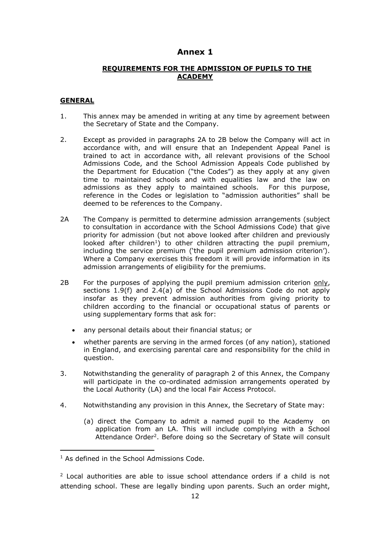# **Annex 1**

### **REQUIREMENTS FOR THE ADMISSION OF PUPILS TO THE ACADEMY**

#### **GENERAL**

- 1. This annex may be amended in writing at any time by agreement between the Secretary of State and the Company.
- 2. Except as provided in paragraphs 2A to 2B below the Company will act in accordance with, and will ensure that an Independent Appeal Panel is trained to act in accordance with, all relevant provisions of the School Admissions Code, and the School Admission Appeals Code published by the Department for Education ("the Codes") as they apply at any given time to maintained schools and with equalities law and the law on admissions as they apply to maintained schools. For this purpose, reference in the Codes or legislation to "admission authorities" shall be deemed to be references to the Company.
- 2A The Company is permitted to determine admission arrangements (subject to consultation in accordance with the School Admissions Code) that give priority for admission (but not above looked after children and previously looked after children<sup>1</sup>) to other children attracting the pupil premium, including the service premium ('the pupil premium admission criterion'). Where a Company exercises this freedom it will provide information in its admission arrangements of eligibility for the premiums.
- 2B For the purposes of applying the pupil premium admission criterion only, sections 1.9(f) and 2.4(a) of the School Admissions Code do not apply insofar as they prevent admission authorities from giving priority to children according to the financial or occupational status of parents or using supplementary forms that ask for:
	- any personal details about their financial status; or
	- whether parents are serving in the armed forces (of any nation), stationed in England, and exercising parental care and responsibility for the child in question.
- 3. Notwithstanding the generality of paragraph 2 of this Annex, the Company will participate in the co-ordinated admission arrangements operated by the Local Authority (LA) and the local Fair Access Protocol.
- 4. Notwithstanding any provision in this Annex, the Secretary of State may:
	- (a) direct the Company to admit a named pupil to the Academy on application from an LA. This will include complying with a School Attendance Order<sup>2</sup>. Before doing so the Secretary of State will consult

 $\overline{a}$ 

<sup>&</sup>lt;sup>1</sup> As defined in the School Admissions Code.

 $2$  Local authorities are able to issue school attendance orders if a child is not attending school. These are legally binding upon parents. Such an order might,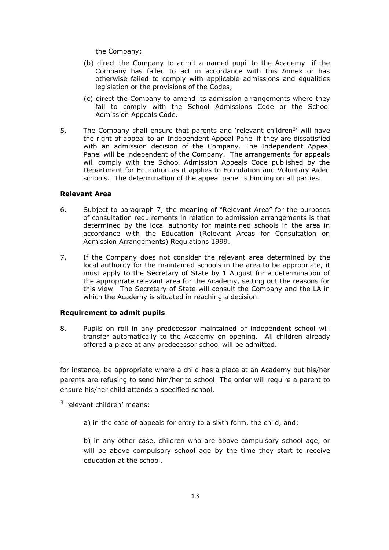the Company;

- (b) direct the Company to admit a named pupil to the Academy if the Company has failed to act in accordance with this Annex or has otherwise failed to comply with applicable admissions and equalities legislation or the provisions of the Codes;
- (c) direct the Company to amend its admission arrangements where they fail to comply with the School Admissions Code or the School Admission Appeals Code.
- 5. The Company shall ensure that parents and 'relevant children<sup>3</sup>' will have the right of appeal to an Independent Appeal Panel if they are dissatisfied with an admission decision of the Company. The Independent Appeal Panel will be independent of the Company. The arrangements for appeals will comply with the School Admission Appeals Code published by the Department for Education as it applies to Foundation and Voluntary Aided schools. The determination of the appeal panel is binding on all parties.

### **Relevant Area**

- 6. Subject to paragraph 7, the meaning of "Relevant Area" for the purposes of consultation requirements in relation to admission arrangements is that determined by the local authority for maintained schools in the area in accordance with the Education (Relevant Areas for Consultation on Admission Arrangements) Regulations 1999.
- 7. If the Company does not consider the relevant area determined by the local authority for the maintained schools in the area to be appropriate, it must apply to the Secretary of State by 1 August for a determination of the appropriate relevant area for the Academy, setting out the reasons for this view. The Secretary of State will consult the Company and the LA in which the Academy is situated in reaching a decision.

#### **Requirement to admit pupils**

8. Pupils on roll in any predecessor maintained or independent school will transfer automatically to the Academy on opening. All children already offered a place at any predecessor school will be admitted.

for instance, be appropriate where a child has a place at an Academy but his/her parents are refusing to send him/her to school. The order will require a parent to ensure his/her child attends a specified school.

3 relevant children' means:

-

a) in the case of appeals for entry to a sixth form, the child, and;

b) in any other case, children who are above compulsory school age, or will be above compulsory school age by the time they start to receive education at the school.